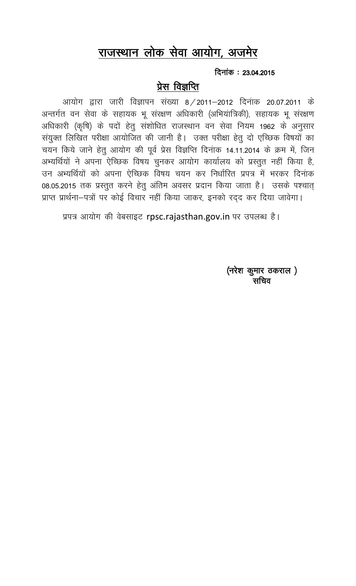## राजस्थान लोक सेवा आयोग, अजमेर

दिनांक: 23.04.2015

## प्रेस विज्ञप्ति

आयोग द्वारा जारी विज्ञापन संख्या 8/2011–2012 दिनांक 20.07.2011 के अन्तर्गत वन सेवा के सहायक भू संरक्षण अधिकारी (अभियांत्रिकी), सहायक भू संरक्षण अधिकारी (कृषि) के पदों हेतु संशोधित राजस्थान वन सेवा नियम 1962 के अनुसार संयुक्त लिखित परीक्षा आयोजित की जानी है। उक्त परीक्षा हेतू दो एच्छिक विषयों का चयन किये जाने हेतु आयोग की पूर्व प्रेस विज्ञप्ति दिनांक 14.11.2014 के क्रम में, जिन अभ्यर्थियों ने अपना ऐच्छिक विषय चुनकर आयोग कार्यालय को प्रस्तुत नहीं किया है, उन अभ्यर्थियों को अपना ऐच्छिक विषय चयन कर निर्धारित प्रपत्र में भरकर दिनांक 08.05.2015 तक प्रस्तुत करने हेतु अंतिम अवसर प्रदान किया जाता है। उसके पश्चात् प्राप्त प्रार्थना-पत्रों पर कोई विचार नहीं किया जाकर, इनको रद्द कर दिया जावेगा।

प्रपत्र आयोग की वेबसाइट rpsc.rajasthan.gov.in पर उपलब्ध है।

(नरेश कुमार ठकराल) सचिव